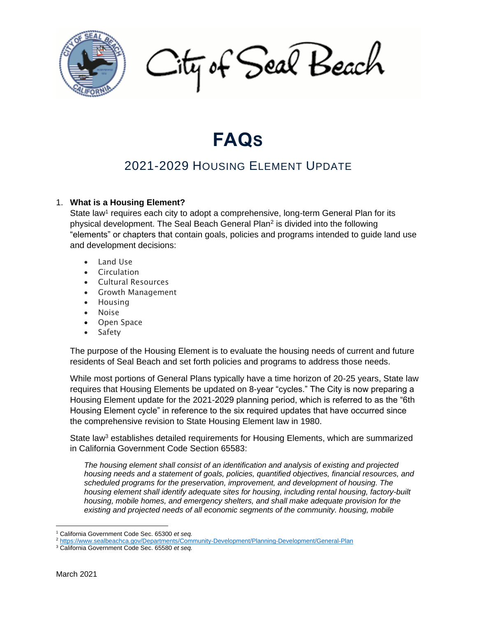

ity of Seal Beach

# **FAQS**

# 2021-2029 HOUSING ELEMENT UPDATE

## 1. **What is a Housing Element?**

State law<sup>1</sup> requires each city to adopt a comprehensive, long-term General Plan for its physical development. The Seal Beach General Plan<sup>2</sup> is divided into the following "elements" or chapters that contain goals, policies and programs intended to guide land use and development decisions:

- Land Use
- Circulation
- Cultural Resources
- Growth Management
- Housing
- Noise
- Open Space
- Safety

The purpose of the Housing Element is to evaluate the housing needs of current and future residents of Seal Beach and set forth policies and programs to address those needs.

While most portions of General Plans typically have a time horizon of 20-25 years, State law requires that Housing Elements be updated on 8-year "cycles." The City is now preparing a Housing Element update for the 2021-2029 planning period, which is referred to as the "6th Housing Element cycle" in reference to the six required updates that have occurred since the comprehensive revision to State Housing Element law in 1980.

State law<sup>3</sup> establishes detailed requirements for Housing Elements, which are summarized in California Government Code Section 65583:

*The housing element shall consist of an identification and analysis of existing and projected housing needs and a statement of goals, policies, quantified objectives, financial resources, and scheduled programs for the preservation, improvement, and development of housing. The housing element shall identify adequate sites for housing, including rental housing, factory-built housing, mobile homes, and emergency shelters, and shall make adequate provision for the existing and projected needs of all economic segments of the community. housing, mobile* 

<sup>3</sup> California Government Code Sec. 65580 *et seq.*

<sup>1</sup> California Government Code Sec. 65300 *et seq.* 

<sup>2</sup> <https://www.sealbeachca.gov/Departments/Community-Development/Planning-Development/General-Plan>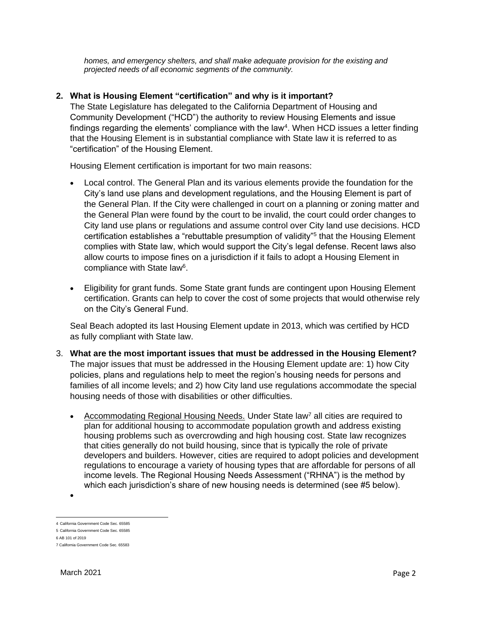*homes, and emergency shelters, and shall make adequate provision for the existing and projected needs of all economic segments of the community.*

#### **2. What is Housing Element "certification" and why is it important?**

The State Legislature has delegated to the California Department of Housing and Community Development ("HCD") the authority to review Housing Elements and issue findings regarding the elements' compliance with the law<sup>4</sup>. When HCD issues a letter finding that the Housing Element is in substantial compliance with State law it is referred to as "certification" of the Housing Element.

Housing Element certification is important for two main reasons:

- Local control. The General Plan and its various elements provide the foundation for the City's land use plans and development regulations, and the Housing Element is part of the General Plan. If the City were challenged in court on a planning or zoning matter and the General Plan were found by the court to be invalid, the court could order changes to City land use plans or regulations and assume control over City land use decisions. HCD certification establishes a "rebuttable presumption of validity"<sup>5</sup> that the Housing Element complies with State law, which would support the City's legal defense. Recent laws also allow courts to impose fines on a jurisdiction if it fails to adopt a Housing Element in compliance with State law<sup>6</sup>.
- Eligibility for grant funds. Some State grant funds are contingent upon Housing Element certification. Grants can help to cover the cost of some projects that would otherwise rely on the City's General Fund.

Seal Beach adopted its last Housing Element update in 2013, which was certified by HCD as fully compliant with State law.

- 3. **What are the most important issues that must be addressed in the Housing Element?** The major issues that must be addressed in the Housing Element update are: 1) how City policies, plans and regulations help to meet the region's housing needs for persons and families of all income levels; and 2) how City land use regulations accommodate the special housing needs of those with disabilities or other difficulties.
	- Accommodating Regional Housing Needs. Under State law<sup>7</sup> all cities are required to plan for additional housing to accommodate population growth and address existing housing problems such as overcrowding and high housing cost. State law recognizes that cities generally do not build housing, since that is typically the role of private developers and builders. However, cities are required to adopt policies and development regulations to encourage a variety of housing types that are affordable for persons of all income levels. The Regional Housing Needs Assessment ("RHNA") is the method by which each jurisdiction's share of new housing needs is determined (see #5 below).

•

<sup>4</sup> California Government Code Sec. 65585

<sup>5</sup> California Government Code Sec. 65585

<sup>6</sup> AB 101 of 2019

<sup>7</sup> California Government Code Sec. 65583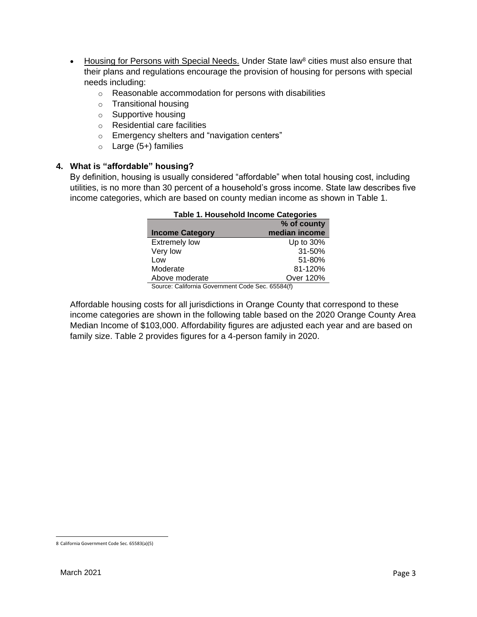- Housing for Persons with Special Needs. Under State law<sup>8</sup> cities must also ensure that their plans and regulations encourage the provision of housing for persons with special needs including:
	- o Reasonable accommodation for persons with disabilities
	- o Transitional housing
	- o Supportive housing
	- o Residential care facilities
	- o Emergency shelters and "navigation centers"
	- $\circ$  Large (5+) families

#### **4. What is "affordable" housing?**

By definition, housing is usually considered "affordable" when total housing cost, including utilities, is no more than 30 percent of a household's gross income. State law describes five income categories, which are based on county median income as shown in Table 1.

| <b>Table 1. Household Income Categories</b> |               |  |
|---------------------------------------------|---------------|--|
|                                             | % of county   |  |
| <b>Income Category</b>                      | median income |  |
| <b>Extremely low</b>                        | Up to 30%     |  |
| Very low                                    | 31-50%        |  |
| Low                                         | 51-80%        |  |
| Moderate                                    | 81-120%       |  |
| Above moderate                              | Over 120%     |  |
| -------                                     | $\sim$        |  |

Source: California Government Code Sec. 65584(f)

Affordable housing costs for all jurisdictions in Orange County that correspond to these income categories are shown in the following table based on the 2020 Orange County Area Median Income of \$103,000. Affordability figures are adjusted each year and are based on family size. Table 2 provides figures for a 4-person family in 2020.

<sup>8</sup> California Government Code Sec. 65583(a)(5)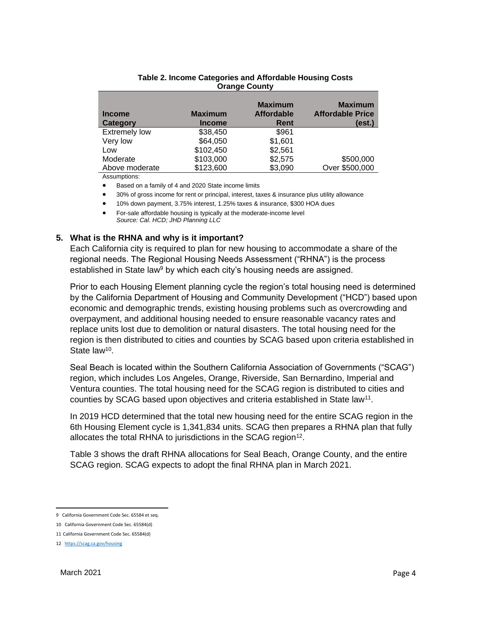| <b>Income</b><br><b>Category</b> | <b>Maximum</b><br><b>Income</b> | <b>Maximum</b><br><b>Affordable</b><br>Rent | <b>Maximum</b><br><b>Affordable Price</b><br>(est.) |
|----------------------------------|---------------------------------|---------------------------------------------|-----------------------------------------------------|
| <b>Extremely low</b>             | \$38,450                        | \$961                                       |                                                     |
| Very low                         | \$64,050                        | \$1,601                                     |                                                     |
| Low                              | \$102,450                       | \$2,561                                     |                                                     |
| Moderate                         | \$103,000                       | \$2,575                                     | \$500,000                                           |
| Above moderate                   | \$123,600                       | \$3,090                                     | Over \$500,000                                      |
|                                  |                                 |                                             |                                                     |

#### **Table 2. Income Categories and Affordable Housing Costs Orange County**

Assumptions:

• Based on a family of 4 and 2020 State income limits

• 30% of gross income for rent or principal, interest, taxes & insurance plus utility allowance

• 10% down payment, 3.75% interest, 1.25% taxes & insurance, \$300 HOA dues

• For-sale affordable housing is typically at the moderate-income level *Source: Cal. HCD; JHD Planning LLC*

## **5. What is the RHNA and why is it important?**

Each California city is required to plan for new housing to accommodate a share of the regional needs. The Regional Housing Needs Assessment ("RHNA") is the process established in State law<sup>9</sup> by which each city's housing needs are assigned.

Prior to each Housing Element planning cycle the region's total housing need is determined by the California Department of Housing and Community Development ("HCD") based upon economic and demographic trends, existing housing problems such as overcrowding and overpayment, and additional housing needed to ensure reasonable vacancy rates and replace units lost due to demolition or natural disasters. The total housing need for the region is then distributed to cities and counties by SCAG based upon criteria established in State law<sup>10</sup>.

Seal Beach is located within the Southern California Association of Governments ("SCAG") region, which includes Los Angeles, Orange, Riverside, San Bernardino, Imperial and Ventura counties. The total housing need for the SCAG region is distributed to cities and counties by SCAG based upon objectives and criteria established in State law<sup>11</sup>.

In 2019 HCD determined that the total new housing need for the entire SCAG region in the 6th Housing Element cycle is 1,341,834 units. SCAG then prepares a RHNA plan that fully allocates the total RHNA to jurisdictions in the SCAG region<sup>12</sup>.

Table 3 shows the draft RHNA allocations for Seal Beach, Orange County, and the entire SCAG region. SCAG expects to adopt the final RHNA plan in March 2021.

<sup>9</sup> California Government Code Sec. 65584 et seq.

<sup>10</sup> California Government Code Sec. 65584(d)

<sup>11</sup> California Government Code Sec. 65584(d)

<sup>12</sup> <https://scag.ca.gov/housing>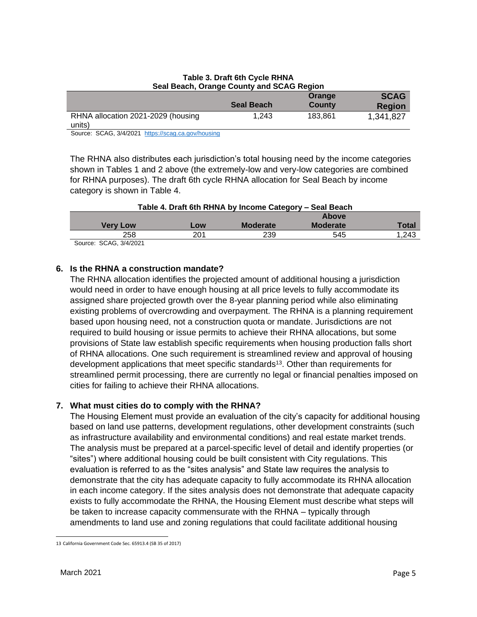|                                                    | <b>Seal Beach</b> | Orange<br><b>County</b> | <b>SCAG</b><br><b>Region</b> |
|----------------------------------------------------|-------------------|-------------------------|------------------------------|
| RHNA allocation 2021-2029 (housing                 | 1.243             | 183.861                 | 1,341,827                    |
| units)                                             |                   |                         |                              |
| Source: SCAG, 3/4/2021 https://scag.ca.gov/housing |                   |                         |                              |

#### **Table 3. Draft 6th Cycle RHNA Seal Beach, Orange County and SCAG Region**

The RHNA also distributes each jurisdiction's total housing need by the income categories shown in Tables 1 and 2 above (the extremely-low and very-low categories are combined for RHNA purposes). The draft 6th cycle RHNA allocation for Seal Beach by income category is shown in Table 4.

| Table 4. Draft 6th RHNA by Income Category - Seal Beach |                 |     |                 |                 |       |
|---------------------------------------------------------|-----------------|-----|-----------------|-----------------|-------|
|                                                         |                 |     |                 | <b>Above</b>    |       |
|                                                         | <b>Very Low</b> | Low | <b>Moderate</b> | <b>Moderate</b> | Total |
|                                                         | 258             | 201 | 239             | 545             | 1,243 |
| $\sim$                                                  | ------------    |     |                 |                 |       |

Source: SCAG, 3/4/2021

#### **6. Is the RHNA a construction mandate?**

The RHNA allocation identifies the projected amount of additional housing a jurisdiction would need in order to have enough housing at all price levels to fully accommodate its assigned share projected growth over the 8-year planning period while also eliminating existing problems of overcrowding and overpayment. The RHNA is a planning requirement based upon housing need, not a construction quota or mandate. Jurisdictions are not required to build housing or issue permits to achieve their RHNA allocations, but some provisions of State law establish specific requirements when housing production falls short of RHNA allocations. One such requirement is streamlined review and approval of housing development applications that meet specific standards<sup>13</sup>. Other than requirements for streamlined permit processing, there are currently no legal or financial penalties imposed on cities for failing to achieve their RHNA allocations.

## **7. What must cities do to comply with the RHNA?**

The Housing Element must provide an evaluation of the city's capacity for additional housing based on land use patterns, development regulations, other development constraints (such as infrastructure availability and environmental conditions) and real estate market trends. The analysis must be prepared at a parcel-specific level of detail and identify properties (or "sites") where additional housing could be built consistent with City regulations. This evaluation is referred to as the "sites analysis" and State law requires the analysis to demonstrate that the city has adequate capacity to fully accommodate its RHNA allocation in each income category. If the sites analysis does not demonstrate that adequate capacity exists to fully accommodate the RHNA, the Housing Element must describe what steps will be taken to increase capacity commensurate with the RHNA – typically through amendments to land use and zoning regulations that could facilitate additional housing

<sup>13</sup> California Government Code Sec. 65913.4 (SB 35 of 2017)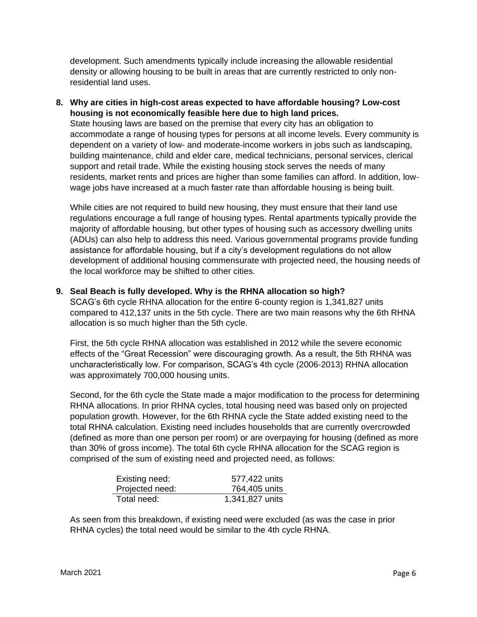development. Such amendments typically include increasing the allowable residential density or allowing housing to be built in areas that are currently restricted to only nonresidential land uses.

**8. Why are cities in high-cost areas expected to have affordable housing? Low-cost housing is not economically feasible here due to high land prices.** State housing laws are based on the premise that every city has an obligation to accommodate a range of housing types for persons at all income levels. Every community is dependent on a variety of low- and moderate-income workers in jobs such as landscaping, building maintenance, child and elder care, medical technicians, personal services, clerical support and retail trade. While the existing housing stock serves the needs of many residents, market rents and prices are higher than some families can afford. In addition, lowwage jobs have increased at a much faster rate than affordable housing is being built.

While cities are not required to build new housing, they must ensure that their land use regulations encourage a full range of housing types. Rental apartments typically provide the majority of affordable housing, but other types of housing such as accessory dwelling units (ADUs) can also help to address this need. Various governmental programs provide funding assistance for affordable housing, but if a city's development regulations do not allow development of additional housing commensurate with projected need, the housing needs of the local workforce may be shifted to other cities.

#### **9. Seal Beach is fully developed. Why is the RHNA allocation so high?**

SCAG's 6th cycle RHNA allocation for the entire 6-county region is 1,341,827 units compared to 412,137 units in the 5th cycle. There are two main reasons why the 6th RHNA allocation is so much higher than the 5th cycle.

First, the 5th cycle RHNA allocation was established in 2012 while the severe economic effects of the "Great Recession" were discouraging growth. As a result, the 5th RHNA was uncharacteristically low. For comparison, SCAG's 4th cycle (2006-2013) RHNA allocation was approximately 700,000 housing units.

Second, for the 6th cycle the State made a major modification to the process for determining RHNA allocations. In prior RHNA cycles, total housing need was based only on projected population growth. However, for the 6th RHNA cycle the State added existing need to the total RHNA calculation. Existing need includes households that are currently overcrowded (defined as more than one person per room) or are overpaying for housing (defined as more than 30% of gross income). The total 6th cycle RHNA allocation for the SCAG region is comprised of the sum of existing need and projected need, as follows:

| Existing need:  | 577,422 units   |
|-----------------|-----------------|
| Projected need: | 764,405 units   |
| Total need:     | 1,341,827 units |

As seen from this breakdown, if existing need were excluded (as was the case in prior RHNA cycles) the total need would be similar to the 4th cycle RHNA.